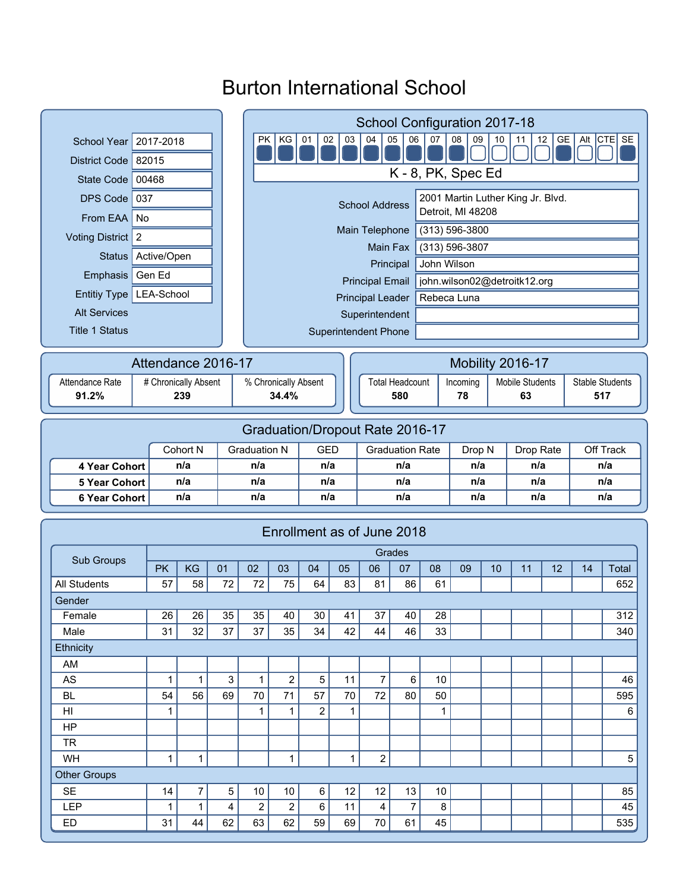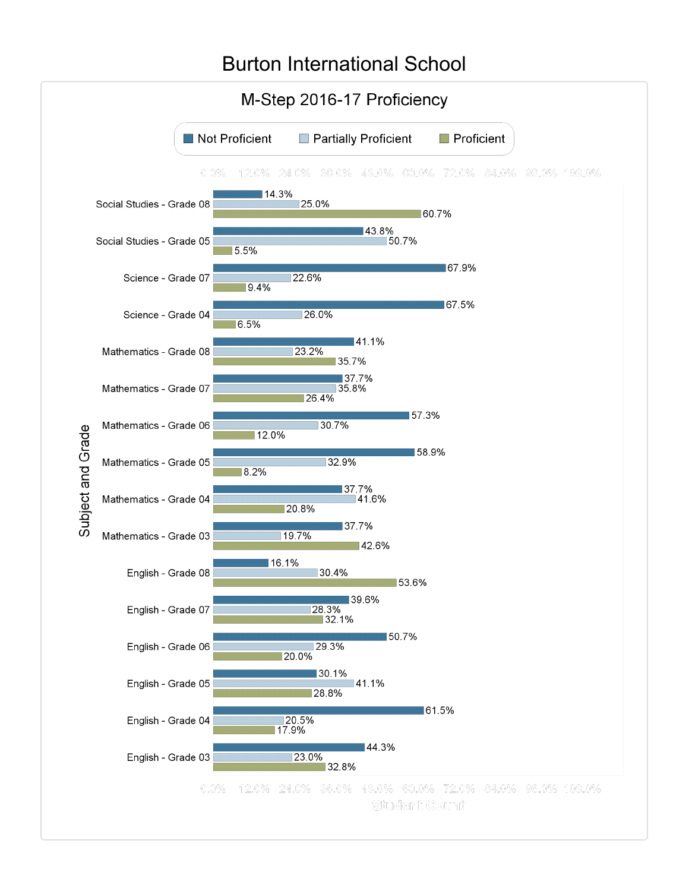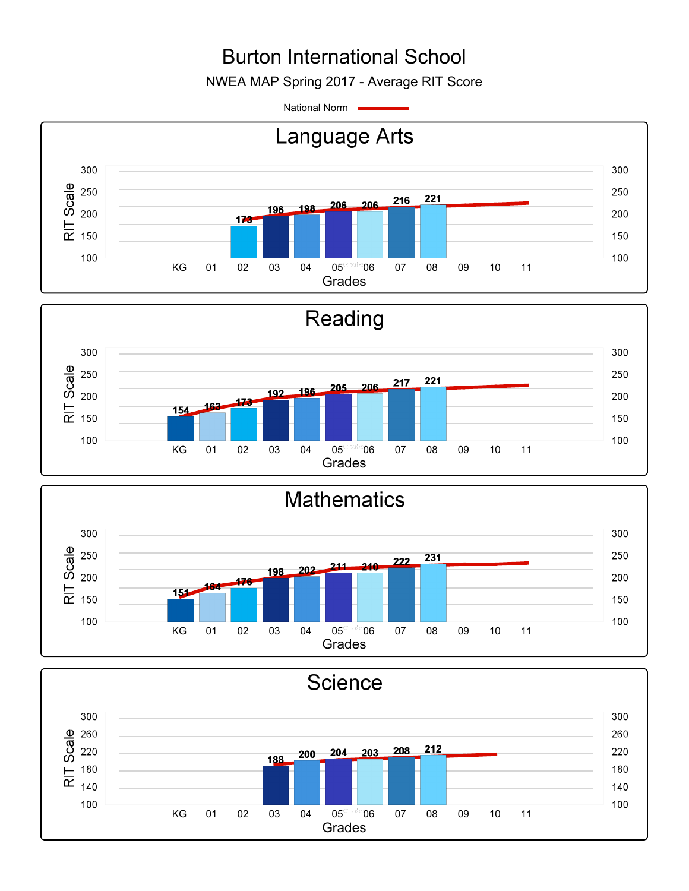NWEA MAP Spring 2017 - Average RIT Score

National Norm